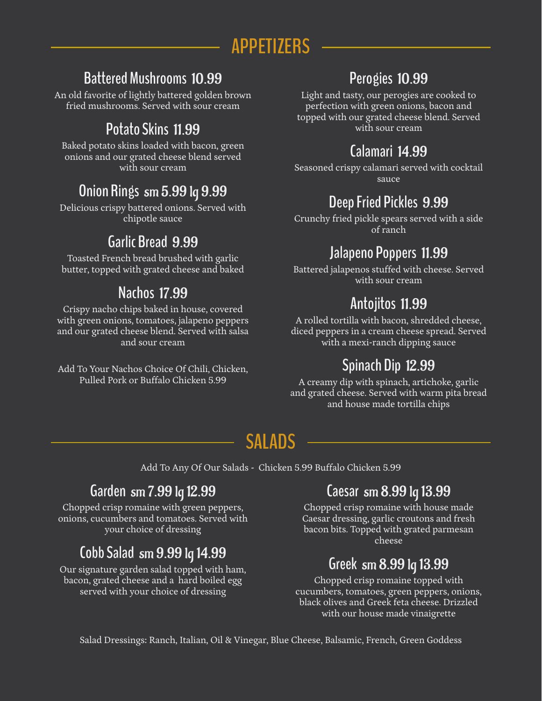# **APPETIZERS**

#### **Battered Mushrooms** 10.99

An old favorite of lightly battered golden brown fried mushrooms. Served with sour cream

Baked potato skins loaded with bacon, green onions and our grated cheese blend served with sour cream

#### **Onion Rings** sm 5.99 lg 9.99

Delicious crispy battered onions. Served with chipotle sauce

#### **Garlic Bread** 9.99

Toasted French bread brushed with garlic butter, topped with grated cheese and baked

#### **Nachos** 17.99

Crispy nacho chips baked in house, covered with green onions, tomatoes, jalapeno peppers and our grated cheese blend. Served with salsa and sour cream

Add To Your Nachos Choice Of Chili, Chicken, Pulled Pork or Buffalo Chicken 5.99

#### **Perogies** 10.99

Light and tasty, our perogies are cooked to perfection with green onions, bacon and topped with our grated cheese blend. Served **Potato Skins 11.99** With sour cream

#### **Calamari** 14.99

Seasoned crispy calamari served with cocktail sauce

#### **Deep Fried Pickles** 9.99

Crunchy fried pickle spears served with a side of ranch

#### **Jalapeno Poppers** 11.99

Battered jalapenos stuffed with cheese. Served with sour cream

#### **Antojitos** 11.99

A rolled tortilla with bacon, shredded cheese, diced peppers in a cream cheese spread. Served with a mexi-ranch dipping sauce

# **Spinach Dip** 12.99

A creamy dip with spinach, artichoke, garlic and grated cheese. Served with warm pita bread and house made tortilla chips

# **SALADS**

Add To Any Of Our Salads - Chicken 5.99 Buffalo Chicken 5.99

#### **Garden** sm 7.99 lg 12.99

Chopped crisp romaine with green peppers, onions, cucumbers and tomatoes. Served with your choice of dressing

# **Cobb Salad** sm 9.99 lg 14.99

Our signature garden salad topped with ham, bacon, grated cheese and a hard boiled egg served with your choice of dressing

#### **Caesar** sm 8.99 lg 13.99

Chopped crisp romaine with house made Caesar dressing, garlic croutons and fresh bacon bits. Topped with grated parmesan cheese

#### **Greek** sm 8.99 lg 13.99

Chopped crisp romaine topped with cucumbers, tomatoes, green peppers, onions, black olives and Greek feta cheese. Drizzled with our house made vinaigrette

Salad Dressings: Ranch, Italian, Oil & Vinegar, Blue Cheese, Balsamic, French, Green Goddess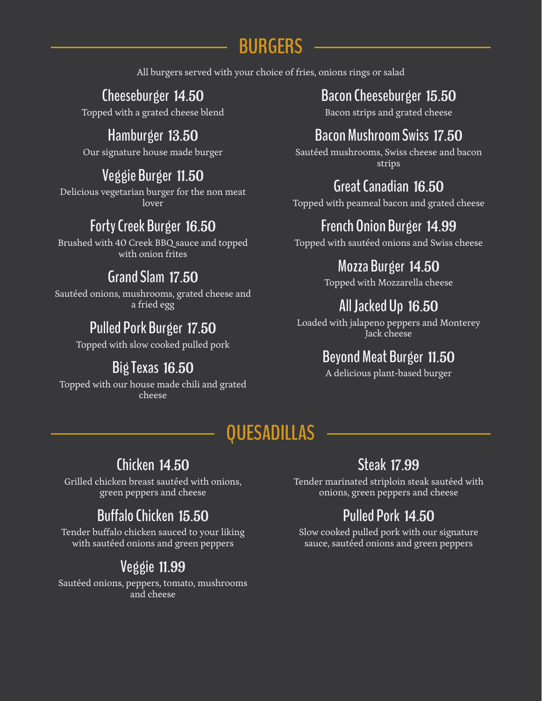# **BURGERS**

All burgers served with your choice of fries, onions rings or salad

# **Cheeseburger** 14.50

Topped with a grated cheese blend

#### **Hamburger** 13.50

Our signature house made burger

#### **Veggie Burger** 11.50

Delicious vegetarian burger for the non meat lover

#### **Forty Creek Burger** 16.50

Brushed with 40 Creek BBQ sauce and topped with onion frites

#### **Grand Slam** 17.50

Sautéed onions, mushrooms, grated cheese and a fried egg

#### **Pulled Pork Burger** 17.50

Topped with slow cooked pulled pork

#### **Big Texas** 16.50

Topped with our house made chili and grated cheese

#### **Bacon Cheeseburger** 15.50

Bacon strips and grated cheese

#### **Bacon Mushroom Swiss** 17.50

Sautéed mushrooms, Swiss cheese and bacon strips

#### **Great Canadian** 16.50

Topped with peameal bacon and grated cheese

### **French Onion Burger** 14.99

Topped with sautéed onions and Swiss cheese

#### **Mozza Burger** 14.50

Topped with Mozzarella cheese

### **All Jacked Up** 16.50

Loaded with jalapeno peppers and Monterey Jack cheese

#### **Beyond Meat Burger** 11.50

A delicious plant-based burger

# **QUESADILLAS**

#### **Chicken** 14.50

Grilled chicken breast sautéed with onions, green peppers and cheese

# **Buffalo Chicken** 15.50

Tender buffalo chicken sauced to your liking with sautéed onions and green peppers

# **Veggie** 11.99

Sautéed onions, peppers, tomato, mushrooms and cheese

#### **Steak** 17.99

Tender marinated striploin steak sautéed with onions, green peppers and cheese

# **Pulled Pork** 14.50

Slow cooked pulled pork with our signature sauce, sautéed onions and green peppers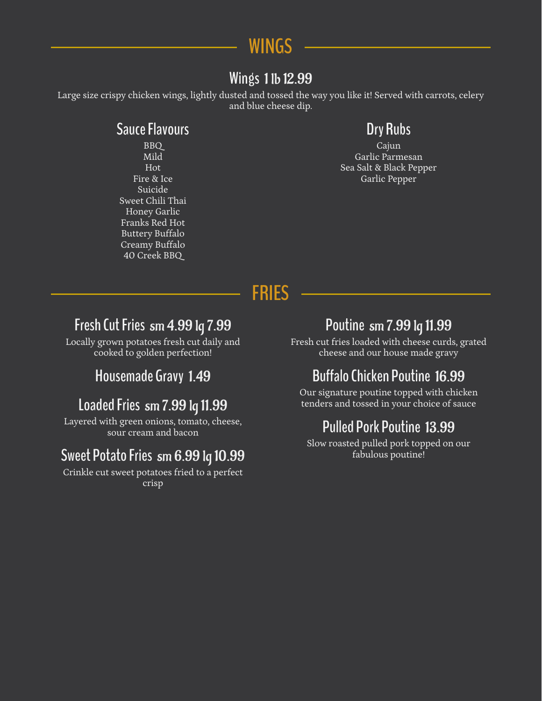

#### **Wings** 1 lb 12.99

Large size crispy chicken wings, lightly dusted and tossed the way you like it! Served with carrots, celery and blue cheese dip.

#### **Sauce Flavours**

BBQ Mild Hot Fire & Ice Suicide Sweet Chili Thai Honey Garlic Franks Red Hot Buttery Buffalo Creamy Buffalo 40 Creek BBQ

#### **Dry Rubs**

Cajun Garlic Parmesan Sea Salt & Black Pepper Garlic Pepper

**FRIES**

#### **Fresh Cut Fries** sm 4.99 lg 7.99

Locally grown potatoes fresh cut daily and cooked to golden perfection!

#### tenders and tossed in your choice of sauce **Loaded Fries** sm 7.99 lg 11.99

Layered with green onions, tomato, cheese, sour cream and bacon **Pulled Pork Poutine** 13.99

#### fabulous poutine! **Sweet Potato Fries** sm 6.99 lg 10.99

Crinkle cut sweet potatoes fried to a perfect crisp

#### **Poutine** sm 7.99 lg 11.99

Fresh cut fries loaded with cheese curds, grated cheese and our house made gravy

#### **Housemade Gravy** 1.49 **Buffalo Chicken Poutine** 16.99

Our signature poutine topped with chicken

Slow roasted pulled pork topped on our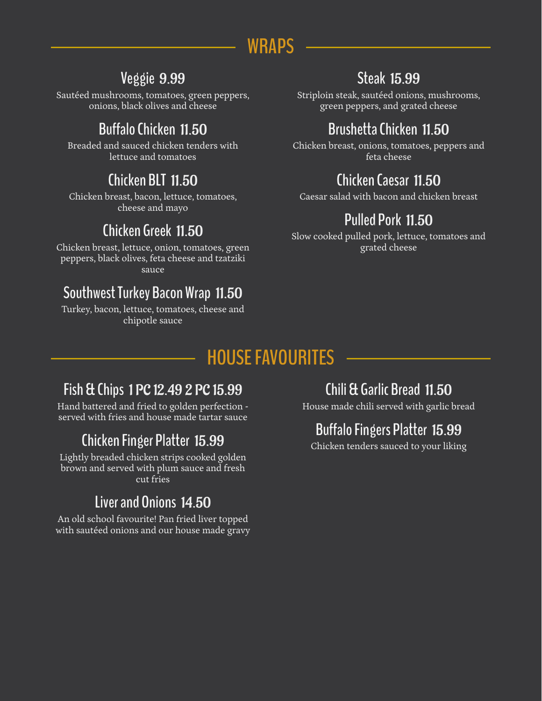# **WRAPS**

#### **Veggie** 9.99

Sautéed mushrooms, tomatoes, green peppers, onions, black olives and cheese

# **Buffalo Chicken** 11.50

Breaded and sauced chicken tenders with lettuce and tomatoes

# **Chicken BLT** 11.50

Chicken breast, bacon, lettuce, tomatoes, cheese and mayo

#### **Chicken Greek** 11.50

Chicken breast, lettuce, onion, tomatoes, green peppers, black olives, feta cheese and tzatziki sauce

#### **Southwest Turkey Bacon Wrap** 11.50

Turkey, bacon, lettuce, tomatoes, cheese and chipotle sauce

# **Steak** 15.99

Striploin steak, sautéed onions, mushrooms, green peppers, and grated cheese

# **Brushetta Chicken** 11.50

Chicken breast, onions, tomatoes, peppers and feta cheese

### **Chicken Caesar** 11.50

Caesar salad with bacon and chicken breast

# **Pulled Pork** 11.50

Slow cooked pulled pork, lettuce, tomatoes and grated cheese

# **HOUSE FAVOURITES**

#### **Fish & Chips** 1 PC 12.49 2 PC 15.99

Hand battered and fried to golden perfection served with fries and house made tartar sauce

# **Chicken Finger Platter** 15.99

Lightly breaded chicken strips cooked golden brown and served with plum sauce and fresh cut fries

# **Liver and Onions** 14.50

An old school favourite! Pan fried liver topped with sautéed onions and our house made gravy

# **Chili & Garlic Bread** 11.50

House made chili served with garlic bread

# **Buffalo Fingers Platter** 15.99

Chicken tenders sauced to your liking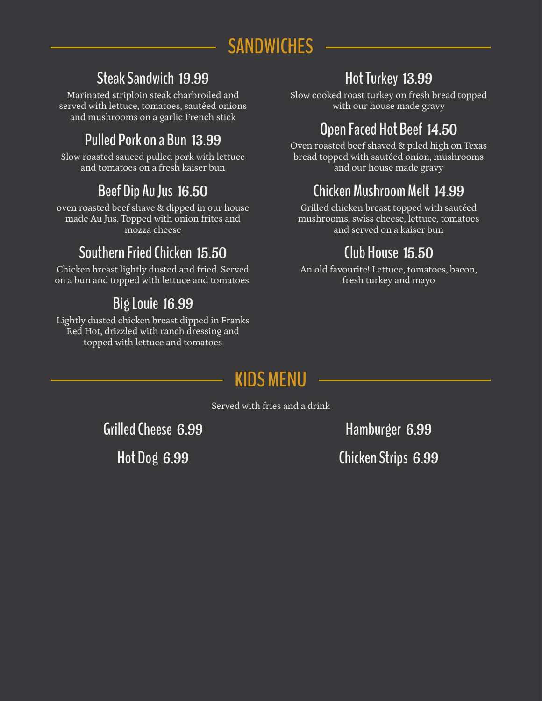# **SANDWICHES**

#### **Steak Sandwich** 19.99

Marinated striploin steak charbroiled and served with lettuce, tomatoes, sautéed onions and mushrooms on a garlic French stick

### **Pulled Pork on a Bun** 13.99

Slow roasted sauced pulled pork with lettuce and tomatoes on a fresh kaiser bun

# **Beef Dip Au Jus** 16.50

oven roasted beef shave & dipped in our house made Au Jus. Topped with onion frites and mozza cheese

# **Southern Fried Chicken** 15.50

Chicken breast lightly dusted and fried. Served on a bun and topped with lettuce and tomatoes.

# **Big Louie** 16.99

Lightly dusted chicken breast dipped in Franks Red Hot, drizzled with ranch dressing and topped with lettuce and tomatoes

# **Hot Turkey** 13.99

Slow cooked roast turkey on fresh bread topped with our house made gravy

# **Open Faced Hot Beef** 14.50

Oven roasted beef shaved & piled high on Texas bread topped with sautéed onion, mushrooms and our house made gravy

# **Chicken Mushroom Melt** 14.99

Grilled chicken breast topped with sautéed mushrooms, swiss cheese, lettuce, tomatoes and served on a kaiser bun

# **Club House** 15.50

An old favourite! Lettuce, tomatoes, bacon, fresh turkey and mayo

# **KIDS MENU**

Served with fries and a drink

**Grilled Cheese** 6.99 **Hamburger** 6.99

**Hot Dog** 6.99 **Chicken Strips** 6.99